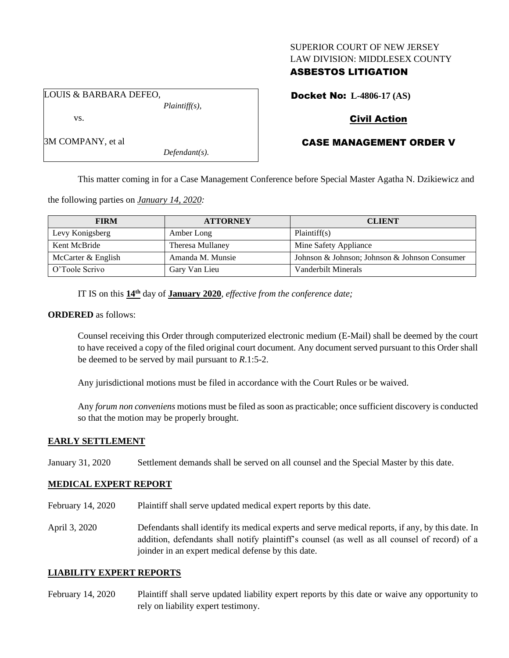#### SUPERIOR COURT OF NEW JERSEY LAW DIVISION: MIDDLESEX COUNTY

## ASBESTOS LITIGATION

LOUIS & BARBARA DEFEO, *Plaintiff(s),*

vs.

3M COMPANY, et al

Docket No: **L-4806-17 (AS)**

# Civil Action

# CASE MANAGEMENT ORDER V

This matter coming in for a Case Management Conference before Special Master Agatha N. Dzikiewicz and

the following parties on *January 14, 2020:*

| <b>FIRM</b>        | <b>ATTORNEY</b>  | <b>CLIENT</b>                                 |
|--------------------|------------------|-----------------------------------------------|
| Levy Konigsberg    | Amber Long       | Plaintiff(s)                                  |
| Kent McBride       | Theresa Mullaney | Mine Safety Appliance                         |
| McCarter & English | Amanda M. Munsie | Johnson & Johnson; Johnson & Johnson Consumer |
| O'Toole Scrivo     | Gary Van Lieu    | Vanderbilt Minerals                           |

IT IS on this **14th** day of **January 2020**, *effective from the conference date;*

*Defendant(s).*

#### **ORDERED** as follows:

Counsel receiving this Order through computerized electronic medium (E-Mail) shall be deemed by the court to have received a copy of the filed original court document. Any document served pursuant to this Order shall be deemed to be served by mail pursuant to *R*.1:5-2.

Any jurisdictional motions must be filed in accordance with the Court Rules or be waived.

Any *forum non conveniens* motions must be filed as soon as practicable; once sufficient discovery is conducted so that the motion may be properly brought.

## **EARLY SETTLEMENT**

January 31, 2020 Settlement demands shall be served on all counsel and the Special Master by this date.

## **MEDICAL EXPERT REPORT**

February 14, 2020 Plaintiff shall serve updated medical expert reports by this date.

April 3, 2020 Defendants shall identify its medical experts and serve medical reports, if any, by this date. In addition, defendants shall notify plaintiff's counsel (as well as all counsel of record) of a joinder in an expert medical defense by this date.

## **LIABILITY EXPERT REPORTS**

February 14, 2020 Plaintiff shall serve updated liability expert reports by this date or waive any opportunity to rely on liability expert testimony.